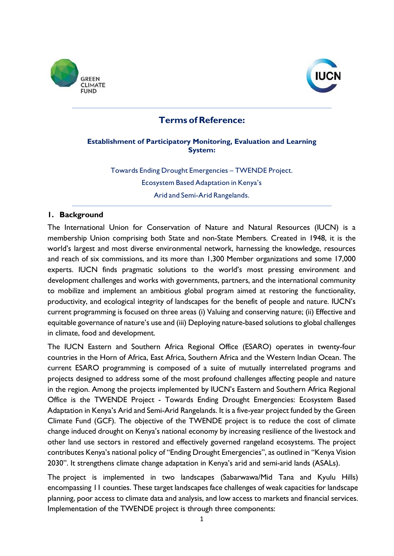



# **Terms of Reference:**

## **Establishment of Participatory Monitoring, Evaluation and Learning System:**

Towards Ending Drought Emergencies – TWENDE Project. Ecosystem Based Adaptation in Kenya's Arid and Semi-Arid Rangelands.

## **1. Background**

The International Union for Conservation of Nature and Natural Resources (IUCN) is a membership Union comprising both State and non-State Members. Created in 1948, it is the world's largest and most diverse environmental network, harnessing the knowledge, resources and reach of six commissions, and its more than 1,300 Member organizations and some 17,000 experts. IUCN finds pragmatic solutions to the world's most pressing environment and development challenges and works with governments, partners, and the international community to mobilize and implement an ambitious global program aimed at restoring the functionality, productivity, and ecological integrity of landscapes for the benefit of people and nature. IUCN's current programming is focused on three areas (i) Valuing and conserving nature; (ii) Effective and equitable governance of nature's use and (iii) Deploying nature-based solutions to global challenges in climate, food and development.

The IUCN Eastern and Southern Africa Regional Office (ESARO) operates in twenty-four countries in the Horn of Africa, East Africa, Southern Africa and the Western Indian Ocean. The current ESARO programming is composed of a suite of mutually interrelated programs and projects designed to address some of the most profound challenges affecting people and nature in the region. Among the projects implemented by IUCN's Eastern and Southern Africa Regional Office is the TWENDE Project - Towards Ending Drought Emergencies: Ecosystem Based Adaptation in Kenya's Arid and Semi-Arid Rangelands. It is a five-year project funded by the Green Climate Fund (GCF). The objective of the TWENDE project is to reduce the cost of climate change induced drought on Kenya's national economy by increasing resilience of the livestock and other land use sectors in restored and effectively governed rangeland ecosystems. The project contributes Kenya's national policy of "Ending Drought Emergencies", as outlined in "Kenya Vision 2030". It strengthens climate change adaptation in Kenya's arid and semi-arid lands (ASALs).

The project is implemented in two landscapes (Sabarwawa/Mid Tana and Kyulu Hills) encompassing 11 counties. These target landscapes face challenges of weak capacities for landscape planning, poor access to climate data and analysis, and low access to markets and financial services. Implementation of the TWENDE project is through three components: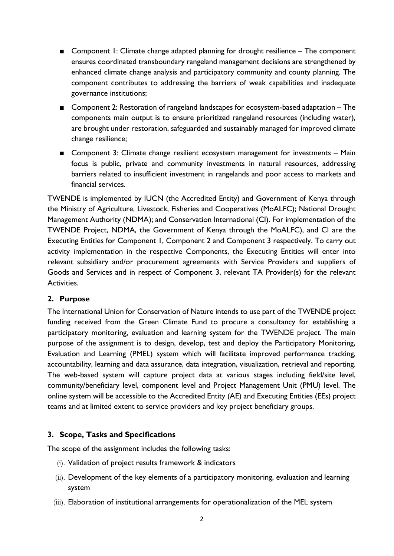- Component 1: Climate change adapted planning for drought resilience The component ensures coordinated transboundary rangeland management decisions are strengthened by enhanced climate change analysis and participatory community and county planning. The component contributes to addressing the barriers of weak capabilities and inadequate governance institutions;
- Component 2: Restoration of rangeland landscapes for ecosystem-based adaptation The components main output is to ensure prioritized rangeland resources (including water), are brought under restoration, safeguarded and sustainably managed for improved climate change resilience;
- Component 3: Climate change resilient ecosystem management for investments Main focus is public, private and community investments in natural resources, addressing barriers related to insufficient investment in rangelands and poor access to markets and financial services.

TWENDE is implemented by IUCN (the Accredited Entity) and Government of Kenya through the Ministry of Agriculture, Livestock, Fisheries and Cooperatives (MoALFC); National Drought Management Authority (NDMA); and Conservation International (CI). For implementation of the TWENDE Project, NDMA, the Government of Kenya through the MoALFC), and CI are the Executing Entities for Component 1, Component 2 and Component 3 respectively. To carry out activity implementation in the respective Components, the Executing Entities will enter into relevant subsidiary and/or procurement agreements with Service Providers and suppliers of Goods and Services and in respect of Component 3, relevant TA Provider(s) for the relevant Activities.

## **2. Purpose**

The International Union for Conservation of Nature intends to use part of the TWENDE project funding received from the Green Climate Fund to procure a consultancy for establishing a participatory monitoring, evaluation and learning system for the TWENDE project. The main purpose of the assignment is to design, develop, test and deploy the Participatory Monitoring, Evaluation and Learning (PMEL) system which will facilitate improved performance tracking, accountability, learning and data assurance, data integration, visualization, retrieval and reporting. The web-based system will capture project data at various stages including field/site level, community/beneficiary level, component level and Project Management Unit (PMU) level. The online system will be accessible to the Accredited Entity (AE) and Executing Entities (EEs) project teams and at limited extent to service providers and key project beneficiary groups.

#### **3. Scope, Tasks and Specifications**

The scope of the assignment includes the following tasks:

- (i). Validation of project results framework & indicators
- (ii). Development of the key elements of a participatory monitoring, evaluation and learning system
- (iii). Elaboration of institutional arrangements for operationalization of the MEL system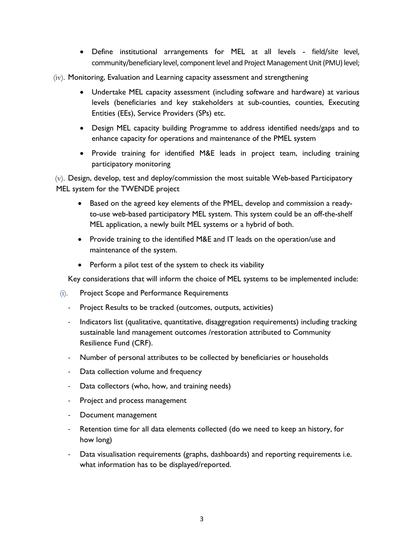- Define institutional arrangements for MEL at all levels field/site level, community/beneficiary level, component level and Project Management Unit (PMU) level;
- (iv). Monitoring, Evaluation and Learning capacity assessment and strengthening
	- Undertake MEL capacity assessment (including software and hardware) at various levels (beneficiaries and key stakeholders at sub-counties, counties, Executing Entities (EEs), Service Providers (SPs) etc.
	- Design MEL capacity building Programme to address identified needs/gaps and to enhance capacity for operations and maintenance of the PMEL system
	- Provide training for identified M&E leads in project team, including training participatory monitoring

 $(v)$ . Design, develop, test and deploy/commission the most suitable Web-based Participatory MEL system for the TWENDE project

- Based on the agreed key elements of the PMEL, develop and commission a readyto-use web-based participatory MEL system. This system could be an off-the-shelf MEL application, a newly built MEL systems or a hybrid of both.
- Provide training to the identified M&E and IT leads on the operation/use and maintenance of the system.
- Perform a pilot test of the system to check its viability

Key considerations that will inform the choice of MEL systems to be implemented include:

- (i). Project Scope and Performance Requirements
	- Project Results to be tracked (outcomes, outputs, activities)
	- Indicators list (qualitative, quantitative, disaggregation requirements) including tracking sustainable land management outcomes /restoration attributed to Community Resilience Fund (CRF).
	- Number of personal attributes to be collected by beneficiaries or households
	- Data collection volume and frequency
	- Data collectors (who, how, and training needs)
	- Project and process management
	- Document management
	- Retention time for all data elements collected (do we need to keep an history, for how long)
	- Data visualisation requirements (graphs, dashboards) and reporting requirements i.e. what information has to be displayed/reported.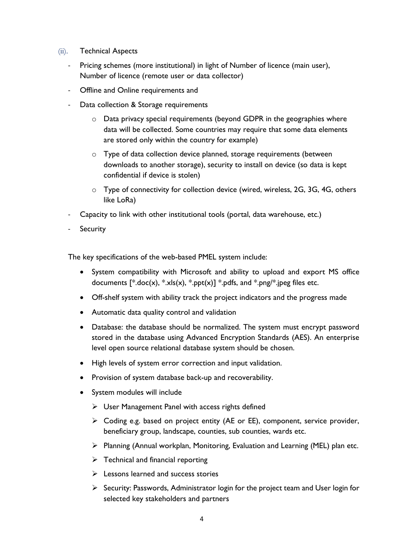- (ii). Technical Aspects
	- Pricing schemes (more institutional) in light of Number of licence (main user), Number of licence (remote user or data collector)
	- Offline and Online requirements and
	- Data collection & Storage requirements
		- o Data privacy special requirements (beyond GDPR in the geographies where data will be collected. Some countries may require that some data elements are stored only within the country for example)
		- o Type of data collection device planned, storage requirements (between downloads to another storage), security to install on device (so data is kept confidential if device is stolen)
		- o Type of connectivity for collection device (wired, wireless, 2G, 3G, 4G, others like LoRa)
	- Capacity to link with other institutional tools (portal, data warehouse, etc.)
	- **Security**

The key specifications of the web-based PMEL system include:

- System compatibility with Microsoft and ability to upload and export MS office documents  $[^*:\text{doc}(x), ^*:\text{cls}(x), ^*:\text{ppt}(x)]$  \*.pdfs, and \*.png/\*.jpeg files etc.
- Off-shelf system with ability track the project indicators and the progress made
- Automatic data quality control and validation
- Database: the database should be normalized. The system must encrypt password stored in the database using Advanced Encryption Standards (AES). An enterprise level open source relational database system should be chosen.
- High levels of system error correction and input validation.
- Provision of system database back-up and recoverability.
- System modules will include
	- ➢ User Management Panel with access rights defined
	- ➢ Coding e.g. based on project entity (AE or EE), component, service provider, beneficiary group, landscape, counties, sub counties, wards etc.
	- ➢ Planning (Annual workplan, Monitoring, Evaluation and Learning (MEL) plan etc.
	- $\triangleright$  Technical and financial reporting
	- ➢ Lessons learned and success stories
	- $\triangleright$  Security: Passwords, Administrator login for the project team and User login for selected key stakeholders and partners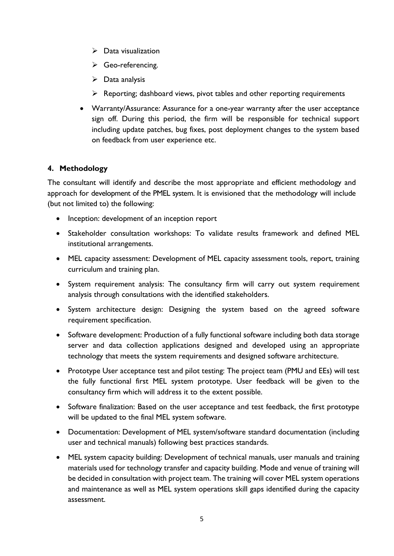- $\triangleright$  Data visualization
- ➢ Geo-referencing.
- $\triangleright$  Data analysis
- ➢ Reporting; dashboard views, pivot tables and other reporting requirements
- Warranty/Assurance: Assurance for a one-year warranty after the user acceptance sign off. During this period, the firm will be responsible for technical support including update patches, bug fixes, post deployment changes to the system based on feedback from user experience etc.

# **4. Methodology**

The consultant will identify and describe the most appropriate and efficient methodology and approach for development of the PMEL system. It is envisioned that the methodology will include (but not limited to) the following:

- Inception: development of an inception report
- Stakeholder consultation workshops: To validate results framework and defined MEL institutional arrangements.
- MEL capacity assessment: Development of MEL capacity assessment tools, report, training curriculum and training plan.
- System requirement analysis: The consultancy firm will carry out system requirement analysis through consultations with the identified stakeholders.
- System architecture design: Designing the system based on the agreed software requirement specification.
- Software development: Production of a fully functional software including both data storage server and data collection applications designed and developed using an appropriate technology that meets the system requirements and designed software architecture.
- Prototype User acceptance test and pilot testing: The project team (PMU and EEs) will test the fully functional first MEL system prototype. User feedback will be given to the consultancy firm which will address it to the extent possible.
- Software finalization: Based on the user acceptance and test feedback, the first prototype will be updated to the final MEL system software.
- Documentation: Development of MEL system/software standard documentation (including user and technical manuals) following best practices standards.
- MEL system capacity building: Development of technical manuals, user manuals and training materials used for technology transfer and capacity building. Mode and venue of training will be decided in consultation with project team. The training will cover MEL system operations and maintenance as well as MEL system operations skill gaps identified during the capacity assessment.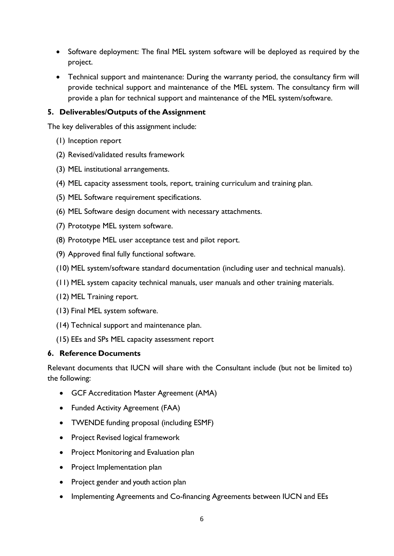- Software deployment: The final MEL system software will be deployed as required by the project.
- Technical support and maintenance: During the warranty period, the consultancy firm will provide technical support and maintenance of the MEL system. The consultancy firm will provide a plan for technical support and maintenance of the MEL system/software.

# **5. Deliverables/Outputs of the Assignment**

The key deliverables of this assignment include:

- (1) Inception report
- (2) Revised/validated results framework
- (3) MEL institutional arrangements.
- (4) MEL capacity assessment tools, report, training curriculum and training plan.
- (5) MEL Software requirement specifications.
- (6) MEL Software design document with necessary attachments.
- (7) Prototype MEL system software.
- (8) Prototype MEL user acceptance test and pilot report.
- (9) Approved final fully functional software.
- (10) MEL system/software standard documentation (including user and technical manuals).
- (11) MEL system capacity technical manuals, user manuals and other training materials.
- (12) MEL Training report.
- (13) Final MEL system software.
- (14) Technical support and maintenance plan.
- (15) EEs and SPs MEL capacity assessment report

#### **6. Reference Documents**

Relevant documents that IUCN will share with the Consultant include (but not be limited to) the following:

- GCF Accreditation Master Agreement (AMA)
- Funded Activity Agreement (FAA)
- TWENDE funding proposal (including ESMF)
- Project Revised logical framework
- Project Monitoring and Evaluation plan
- Project Implementation plan
- Project gender and youth action plan
- Implementing Agreements and Co-financing Agreements between IUCN and EEs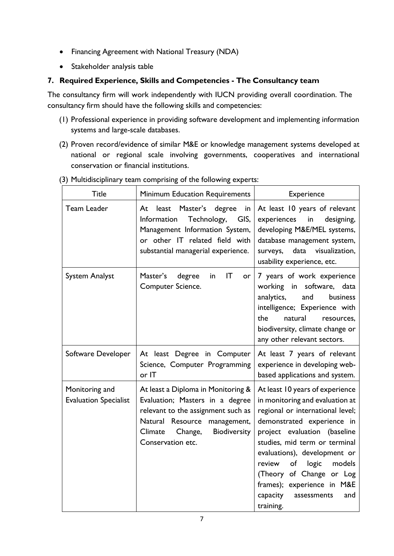- Financing Agreement with National Treasury (NDA)
- Stakeholder analysis table

# **7. Required Experience, Skills and Competencies - The Consultancy team**

The consultancy firm will work independently with IUCN providing overall coordination. The consultancy firm should have the following skills and competencies:

- (1) Professional experience in providing software development and implementing information systems and large-scale databases.
- (2) Proven record/evidence of similar M&E or knowledge management systems developed at national or regional scale involving governments, cooperatives and international conservation or financial institutions.

| <b>Title</b>                                   | Minimum Education Requirements                                                                                                                                                                         | Experience                                                                                                                                                                                                                                                                                                                                                                        |  |
|------------------------------------------------|--------------------------------------------------------------------------------------------------------------------------------------------------------------------------------------------------------|-----------------------------------------------------------------------------------------------------------------------------------------------------------------------------------------------------------------------------------------------------------------------------------------------------------------------------------------------------------------------------------|--|
| Team Leader                                    | Master's degree<br>At<br>least<br>in<br>GIS,<br>Technology,<br>Information<br>Management Information System,<br>or other IT related field with<br>substantial managerial experience.                   | At least 10 years of relevant<br>experiences<br>in<br>designing,<br>developing M&E/MEL systems,<br>database management system,<br>surveys, data visualization,<br>usability experience, etc.                                                                                                                                                                                      |  |
| <b>System Analyst</b>                          | Master's<br>$\mathsf{I}\mathsf{T}$<br>degree<br>in<br>or l<br>Computer Science.                                                                                                                        | 7 years of work experience<br>working in software, data<br>analytics,<br>and<br>business<br>intelligence; Experience with<br>natural<br>the.<br>resources,<br>biodiversity, climate change or<br>any other relevant sectors.                                                                                                                                                      |  |
| Software Developer                             | At least Degree in Computer<br>Science, Computer Programming<br>or IT                                                                                                                                  | At least 7 years of relevant<br>experience in developing web-<br>based applications and system.                                                                                                                                                                                                                                                                                   |  |
| Monitoring and<br><b>Evaluation Specialist</b> | At least a Diploma in Monitoring &<br>Evaluation; Masters in a degree<br>relevant to the assignment such as<br>Natural Resource management,<br>Biodiversity<br>Climate<br>Change,<br>Conservation etc. | At least 10 years of experience<br>in monitoring and evaluation at<br>regional or international level;<br>demonstrated experience in<br>project evaluation (baseline<br>studies, mid term or terminal<br>evaluations), development or<br>of<br>logic<br>review<br>models<br>(Theory of Change or Log<br>frames); experience in M&E<br>capacity<br>assessments<br>and<br>training. |  |

(3) Multidisciplinary team comprising of the following experts: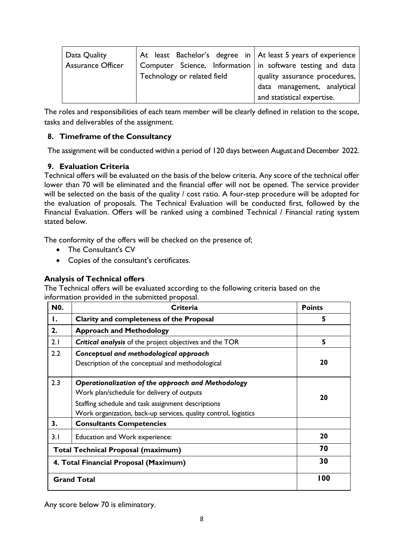| $\vert$ At least Bachelor's degree in $\vert$ At least 5 years of experience<br>Data Quality<br>Computer Science, Information $ $ in software testing and data<br>Assurance Officer<br>Technology or related field | quality assurance procedures,<br>data management, analytical<br>and statistical expertise. |
|--------------------------------------------------------------------------------------------------------------------------------------------------------------------------------------------------------------------|--------------------------------------------------------------------------------------------|
|--------------------------------------------------------------------------------------------------------------------------------------------------------------------------------------------------------------------|--------------------------------------------------------------------------------------------|

The roles and responsibilities of each team member will be clearly defined in relation to the scope, tasks and deliverables of the assignment.

# **8. Timeframe of the Consultancy**

The assignment will be conducted within a period of 120 days between August and December 2022.

# **9. Evaluation Criteria**

Technical offers will be evaluated on the basis of the below criteria. Any score of the technical offer lower than 70 will be eliminated and the financial offer will not be opened. The service provider will be selected on the basis of the quality / cost ratio. A four-step procedure will be adopted for the evaluation of proposals. The Technical Evaluation will be conducted first, followed by the Financial Evaluation. Offers will be ranked using a combined Technical / Financial rating system stated below.

The conformity of the offers will be checked on the presence of;

- The Consultant's CV
- Copies of the consultant's certificates.

## **Analysis of Technical offers**

The Technical offers will be evaluated according to the following criteria based on the information provided in the submitted proposal.

| N <sub>0</sub> .                          | Criteria                                                                                                                                                                                                                  | <b>Points</b> |
|-------------------------------------------|---------------------------------------------------------------------------------------------------------------------------------------------------------------------------------------------------------------------------|---------------|
| Ι.                                        | Clarity and completeness of the Proposal                                                                                                                                                                                  | 5             |
| 2.                                        | <b>Approach and Methodology</b>                                                                                                                                                                                           |               |
| 2.1                                       | <b>Critical analysis</b> of the project objectives and the TOR                                                                                                                                                            | 5             |
| 2.2                                       | Conceptual and methodological approach<br>Description of the conceptual and methodological                                                                                                                                | 20            |
| 2.3                                       | Operationalization of the approach and Methodology<br>Work plan/schedule for delivery of outputs<br>Staffing schedule and task assignment descriptions<br>Work organization, back-up services, quality control, logistics | 20            |
| 3.                                        | <b>Consultants Competencies</b>                                                                                                                                                                                           |               |
| 3.1                                       | Education and Work experience:                                                                                                                                                                                            | 20            |
| <b>Total Technical Proposal (maximum)</b> |                                                                                                                                                                                                                           | 70            |
| 4. Total Financial Proposal (Maximum)     |                                                                                                                                                                                                                           | 30            |
| <b>Grand Total</b>                        |                                                                                                                                                                                                                           | 100           |

Any score below 70 is eliminatory.